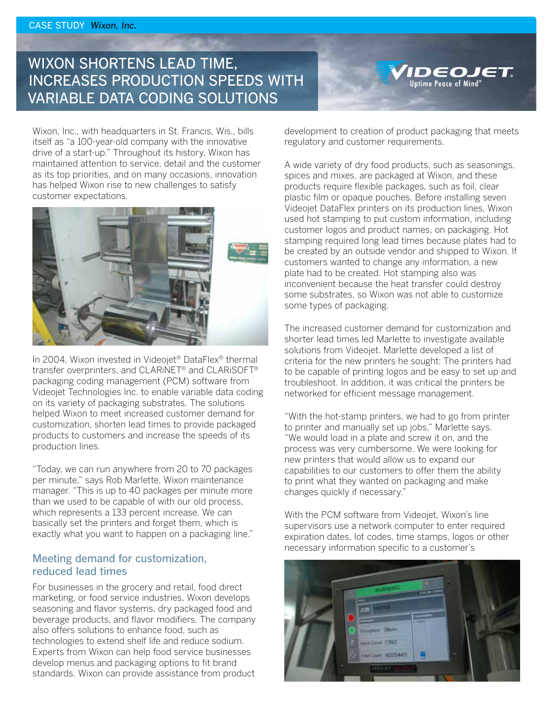## WIXON SHORTENS LEAD TIME, INCREASES PRODUCTION SPEEDS WITH VARIABLE DATA CODING SOLUTIONS



 $\sum_{\text{Uptime Peace of Mind}^\circ}$ 

Wixon, Inc., with headquarters in St. Francis, Wis., bills itself as "a 100-year-old company with the innovative drive of a start-up." Throughout its history, Wixon has maintained attention to service, detail and the customer as its top priorities, and on many occasions, innovation has helped Wixon rise to new challenges to satisfy customer expectations.



In 2004, Wixon invested in Videojet® DataFlex® thermal transfer overprinters, and CLARiNET® and CLARiSOFT® packaging coding management (PCM) software from Videojet Technologies Inc. to enable variable data coding on its variety of packaging substrates. The solutions helped Wixon to meet increased customer demand for customization, shorten lead times to provide packaged products to customers and increase the speeds of its production lines.

"Today, we can run anywhere from 20 to 70 packages per minute," says Rob Marlette, Wixon maintenance manager. "This is up to 40 packages per minute more than we used to be capable of with our old process, which represents a 133 percent increase. We can basically set the printers and forget them, which is exactly what you want to happen on a packaging line."

## Meeting demand for customization, reduced lead times

For businesses in the grocery and retail, food direct marketing, or food service industries, Wixon develops seasoning and flavor systems, dry packaged food and beverage products, and flavor modifiers. The company also offers solutions to enhance food, such as technologies to extend shelf life and reduce sodium. Experts from Wixon can help food service businesses develop menus and packaging options to fit brand standards. Wixon can provide assistance from product

development to creation of product packaging that meets regulatory and customer requirements.

A wide variety of dry food products, such as seasonings, spices and mixes, are packaged at Wixon, and these products require flexible packages, such as foil, clear plastic film or opaque pouches. Before installing seven Videojet DataFlex printers on its production lines, Wixon used hot stamping to put custom information, including customer logos and product names, on packaging. Hot stamping required long lead times because plates had to be created by an outside vendor and shipped to Wixon. If customers wanted to change any information, a new plate had to be created. Hot stamping also was inconvenient because the heat transfer could destroy some substrates, so Wixon was not able to customize some types of packaging.

The increased customer demand for customization and shorter lead times led Marlette to investigate available solutions from Videojet. Marlette developed a list of criteria for the new printers he sought: The printers had to be capable of printing logos and be easy to set up and troubleshoot. In addition, it was critical the printers be networked for efficient message management.

"With the hot-stamp printers, we had to go from printer to printer and manually set up jobs," Marlette says. "We would load in a plate and screw it on, and the process was very cumbersome. We were looking for new printers that would allow us to expand our capabilities to our customers to offer them the ability to print what they wanted on packaging and make changes quickly if necessary."

With the PCM software from Videojet, Wixon's line supervisors use a network computer to enter required expiration dates, lot codes, time stamps, logos or other necessary information specific to a customer's